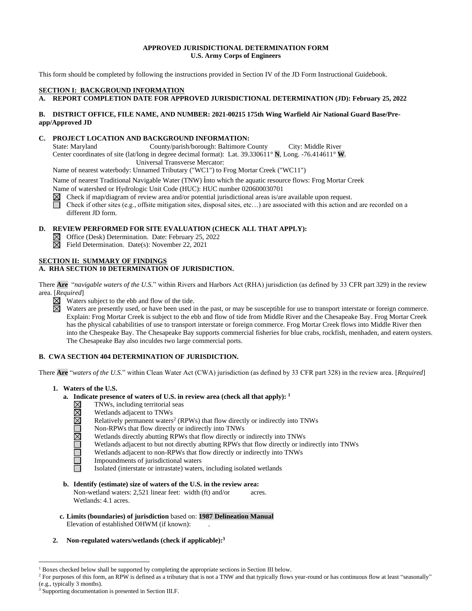### **APPROVED JURISDICTIONAL DETERMINATION FORM U.S. Army Corps of Engineers**

This form should be completed by following the instructions provided in Section IV of the JD Form Instructional Guidebook.

### **SECTION I: BACKGROUND INFORMATION**

### **A. REPORT COMPLETION DATE FOR APPROVED JURISDICTIONAL DETERMINATION (JD): February 25, 2022**

### **B. DISTRICT OFFICE, FILE NAME, AND NUMBER: 2021-00215 175th Wing Warfield Air National Guard Base/Preapp/Approved JD**

### **C. PROJECT LOCATION AND BACKGROUND INFORMATION:**

State: Maryland County/parish/borough: Baltimore County City: Middle River Center coordinates of site (lat/long in degree decimal format): Lat. 39.330611° **N**, Long. -76.414611° **W**. Universal Transverse Mercator:

Name of nearest waterbody: Unnamed Tributary ("WC1") to Frog Mortar Creek ("WC11")

Name of nearest Traditional Navigable Water (TNW) into which the aquatic resource flows: Frog Mortar Creek

Name of watershed or Hydrologic Unit Code (HUC): HUC number 020600030701

 $\boxtimes$  Check if map/diagram of review area and/or potential jurisdictional areas is/are available upon request.

Check if other sites (e.g., offsite mitigation sites, disposal sites, etc...) are associated with this action and are recorded on a different JD form.

### **D. REVIEW PERFORMED FOR SITE EVALUATION (CHECK ALL THAT APPLY):**

- Office (Desk) Determination. Date: February 25, 2022
- $\boxtimes$  Field Determination. Date(s): November 22, 2021

# **SECTION II: SUMMARY OF FINDINGS**

### **A. RHA SECTION 10 DETERMINATION OF JURISDICTION.**

There **Are** "*navigable waters of the U.S.*" within Rivers and Harbors Act (RHA) jurisdiction (as defined by 33 CFR part 329) in the review area. [*Required*]<br> **N** Waters

- Waters subject to the ebb and flow of the tide.
- Waters are presently used, or have been used in the past, or may be susceptible for use to transport interstate or foreign commerce.  $\boxtimes$ Explain: Frog Mortar Creek is subject to the ebb and flow of tide from Middle River and the Chesapeake Bay. Frog Mortar Creek has the physical cababilities of use to transport interstate or foreign commerce. Frog Mortar Creek flows into Middle River then into the Chespeake Bay. The Chesapeake Bay supports commercial fisheries for blue crabs, rockfish, menhaden, and eatern oysters. The Chesapeake Bay also inculdes two large commercial ports.

### **B. CWA SECTION 404 DETERMINATION OF JURISDICTION.**

There **Are** "*waters of the U.S.*" within Clean Water Act (CWA) jurisdiction (as defined by 33 CFR part 328) in the review area. [*Required*]

- **1. Waters of the U.S.**
	- **a. Indicate presence of waters of U.S. in review area (check all that apply): 1**
		- NNNDNDDD TNWs, including territorial seas
			- Wetlands adjacent to TNWs
			- Relatively permanent waters<sup>2</sup> (RPWs) that flow directly or indirectly into TNWs
			- Non-RPWs that flow directly or indirectly into TNWs
			- Wetlands directly abutting RPWs that flow directly or indirectly into TNWs
			- Wetlands adjacent to but not directly abutting RPWs that flow directly or indirectly into TNWs
			- Wetlands adjacent to non-RPWs that flow directly or indirectly into TNWs
			- Impoundments of jurisdictional waters
			- Isolated (interstate or intrastate) waters, including isolated wetlands
	- **b. Identify (estimate) size of waters of the U.S. in the review area:** Non-wetland waters: 2,521 linear feet: width (ft) and/or acres. Wetlands: 4.1 acres.
	- **c. Limits (boundaries) of jurisdiction** based on: **1987 Delineation Manual** Elevation of established OHWM (if known):
- **2. Non-regulated waters/wetlands (check if applicable): 3**

<sup>&</sup>lt;sup>1</sup> Boxes checked below shall be supported by completing the appropriate sections in Section III below.

<sup>&</sup>lt;sup>2</sup> For purposes of this form, an RPW is defined as a tributary that is not a TNW and that typically flows year-round or has continuous flow at least "seasonally" (e.g., typically 3 months).

<sup>3</sup> Supporting documentation is presented in Section III.F.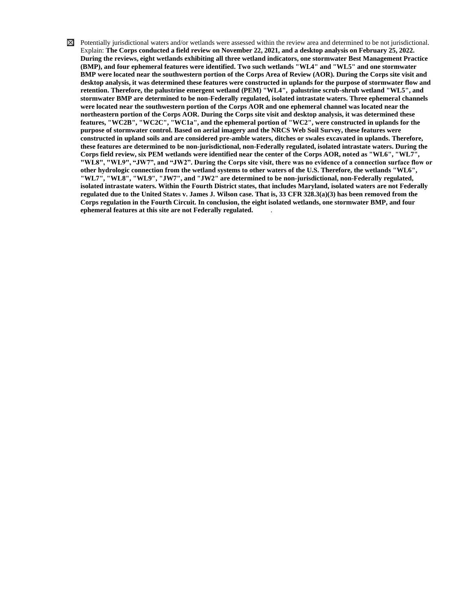$\boxtimes$  Potentially jurisdictional waters and/or wetlands were assessed within the review area and determined to be not jurisdictional. Explain: **The Corps conducted a field review on November 22, 2021, and a desktop analysis on February 25, 2022. During the reviews, eight wetlands exhibiting all three wetland indicators, one stormwater Best Management Practice (BMP), and four ephemeral features were identified. Two such wetlands "WL4" and "WL5" and one stormwater BMP were located near the southwestern portion of the Corps Area of Review (AOR). During the Corps site visit and desktop analysis, it was determined these features were constructed in uplands for the purpose of stormwater flow and retention. Therefore, the palustrine emergent wetland (PEM) "WL4", palustrine scrub-shrub wetland "WL5", and stormwater BMP are determined to be non-Federally regulated, isolated intrastate waters. Three ephemeral channels were located near the southwestern portion of the Corps AOR and one ephemeral channel was located near the northeastern portion of the Corps AOR. During the Corps site visit and desktop analysis, it was determined these features, "WC2B", "WC2C", "WC1a", and the ephemeral portion of "WC2", were constructed in uplands for the purpose of stormwater control. Based on aerial imagery and the NRCS Web Soil Survey, these features were constructed in upland soils and are considered pre-amble waters, ditches or swales excavated in uplands. Therefore, these features are determined to be non-jurisdictional, non-Federally regulated, isolated intrastate waters. During the Corps field review, six PEM wetlands were identified near the center of the Corps AOR, noted as "WL6", "WL7", "WL8", "WL9", "JW7", and "JW2". During the Corps site visit, there was no evidence of a connection surface flow or other hydrologic connection from the wetland systems to other waters of the U.S. Therefore, the wetlands "WL6", "WL7", "WL8", "WL9", "JW7", and "JW2" are determined to be non-jurisdictional, non-Federally regulated, isolated intrastate waters. Within the Fourth District states, that includes Maryland, isolated waters are not Federally regulated due to the United States v. James J. Wilson case. That is, 33 CFR 328.3(a)(3) has been removed from the Corps regulation in the Fourth Circuit. In conclusion, the eight isolated wetlands, one stormwater BMP, and four ephemeral features at this site are not Federally regulated.** .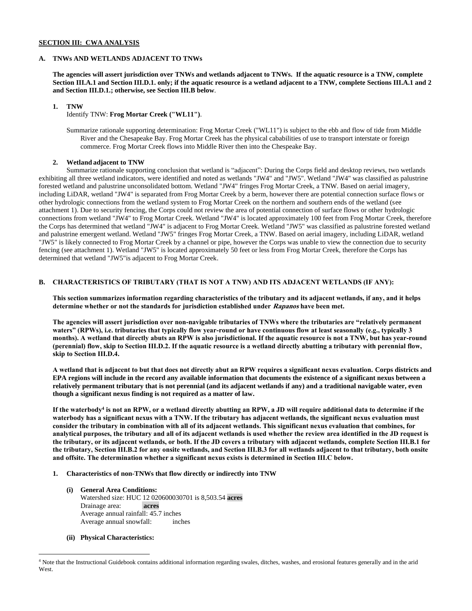### **SECTION III: CWA ANALYSIS**

#### **A. TNWs AND WETLANDS ADJACENT TO TNWs**

**The agencies will assert jurisdiction over TNWs and wetlands adjacent to TNWs. If the aquatic resource is a TNW, complete Section III.A.1 and Section III.D.1. only; if the aquatic resource is a wetland adjacent to a TNW, complete Sections III.A.1 and 2 and Section III.D.1.; otherwise, see Section III.B below**.

#### **1. TNW**

Identify TNW: **Frog Mortar Creek ("WL11")**.

Summarize rationale supporting determination: Frog Mortar Creek ("WL11") is subject to the ebb and flow of tide from Middle River and the Chesapeake Bay. Frog Mortar Creek has the physical cababilities of use to transport interstate or foreign commerce. Frog Mortar Creek flows into Middle River then into the Chespeake Bay.

#### **2. Wetland adjacent to TNW**

Summarize rationale supporting conclusion that wetland is "adjacent": During the Corps field and desktop reviews, two wetlands exhibiting all three wetland indicators, were identified and noted as wetlands "JW4" and "JW5". Wetland "JW4" was classified as palustrine forested wetland and palustrine unconsolidated bottom. Wetland "JW4" fringes Frog Mortar Creek, a TNW. Based on aerial imagery, including LiDAR, wetland "JW4" is separated from Frog Mortar Creek by a berm, however there are potential connection surface flows or other hydrologic connections from the wetland system to Frog Mortar Creek on the northern and southern ends of the wetland (see attachment 1). Due to security fencing, the Corps could not review the area of potential connection of surface flows or other hydrologic connections from wetland "JW4" to Frog Mortar Creek. Wetland "JW4" is located approximately 100 feet from Frog Mortar Creek, therefore the Corps has determined that wetland "JW4" is adjacent to Frog Mortar Creek. Wetland "JW5" was classified as palustrine forested wetland and palustrine emergent wetland. Wetland "JW5" fringes Frog Mortar Creek, a TNW. Based on aerial imagery, including LiDAR, wetland "JW5" is likely connected to Frog Mortar Creek by a channel or pipe, however the Corps was unable to view the connection due to security fencing (see attachment 1). Wetland "JW5" is located approximately 50 feet or less from Frog Mortar Creek, therefore the Corps has determined that wetland "JW5"is adjacent to Frog Mortar Creek.

# **B. CHARACTERISTICS OF TRIBUTARY (THAT IS NOT A TNW) AND ITS ADJACENT WETLANDS (IF ANY):**

**This section summarizes information regarding characteristics of the tributary and its adjacent wetlands, if any, and it helps determine whether or not the standards for jurisdiction established under Rapanos have been met.** 

**The agencies will assert jurisdiction over non-navigable tributaries of TNWs where the tributaries are "relatively permanent waters" (RPWs), i.e. tributaries that typically flow year-round or have continuous flow at least seasonally (e.g., typically 3 months). A wetland that directly abuts an RPW is also jurisdictional. If the aquatic resource is not a TNW, but has year-round (perennial) flow, skip to Section III.D.2. If the aquatic resource is a wetland directly abutting a tributary with perennial flow, skip to Section III.D.4.**

**A wetland that is adjacent to but that does not directly abut an RPW requires a significant nexus evaluation. Corps districts and EPA regions will include in the record any available information that documents the existence of a significant nexus between a relatively permanent tributary that is not perennial (and its adjacent wetlands if any) and a traditional navigable water, even though a significant nexus finding is not required as a matter of law.**

**If the waterbody<sup>4</sup> is not an RPW, or a wetland directly abutting an RPW, a JD will require additional data to determine if the waterbody has a significant nexus with a TNW. If the tributary has adjacent wetlands, the significant nexus evaluation must consider the tributary in combination with all of its adjacent wetlands. This significant nexus evaluation that combines, for analytical purposes, the tributary and all of its adjacent wetlands is used whether the review area identified in the JD request is the tributary, or its adjacent wetlands, or both. If the JD covers a tributary with adjacent wetlands, complete Section III.B.1 for the tributary, Section III.B.2 for any onsite wetlands, and Section III.B.3 for all wetlands adjacent to that tributary, both onsite and offsite. The determination whether a significant nexus exists is determined in Section III.C below.**

#### **1. Characteristics of non-TNWs that flow directly or indirectly into TNW**

- **(i) General Area Conditions:** Watershed size: HUC 12 020600030701 is 8,503.54 **acres** Drainage area: **acres** Average annual rainfall: 45.7 inches Average annual snowfall: inches
- **(ii) Physical Characteristics:**

<sup>4</sup> Note that the Instructional Guidebook contains additional information regarding swales, ditches, washes, and erosional features generally and in the arid **West**.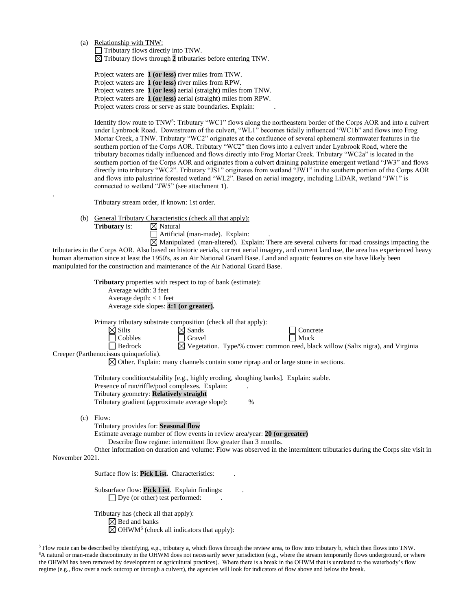(a) Relationship with TNW:

Tributary flows directly into TNW. Tributary flows through **2** tributaries before entering TNW.

Project waters are **1 (or less)** river miles from TNW. Project waters are **1 (or less)** river miles from RPW. Project waters are **1 (or less)** aerial (straight) miles from TNW. Project waters are **1 (or less)** aerial (straight) miles from RPW. Project waters cross or serve as state boundaries. Explain:

Identify flow route to TNW<sup>5</sup>: Tributary "WC1" flows along the northeastern border of the Corps AOR and into a culvert under Lynbrook Road. Downstream of the culvert, "WL1" becomes tidally influenced "WC1b" and flows into Frog Mortar Creek, a TNW. Tributary "WC2" originates at the confluence of several ephemeral stormwater features in the southern portion of the Corps AOR. Tributary "WC2" then flows into a culvert under Lynbrook Road, where the tributary becomes tidally influenced and flows directly into Frog Mortar Creek. Tributary "WC2a" is located in the southern portion of the Corps AOR and originates from a culvert draining palustrine emergent wetland "JW3" and flows directly into tributary "WC2". Tributary "JS1" originates from wetland "JW1" in the southern portion of the Corps AOR and flows into palustrine forested wetland "WL2". Based on aerial imagery, including LiDAR, wetland "JW1" is connected to wetland "JW5" (see attachment 1).

Tributary stream order, if known: 1st order.

(b) General Tributary Characteristics (check all that apply):

**Tributary** is:  $\boxtimes$  Natural

.

Artificial (man-made). Explain: .

 $\boxtimes$  Manipulated (man-altered). Explain: There are several culverts for road crossings impacting the tributaries in the Corps AOR. Also based on historic aerials, current aerial imagery, and current land use, the area has experienced heavy human alternation since at least the 1950's, as an Air National Guard Base. Land and aquatic features on site have likely been manipulated for the construction and maintenance of the Air National Guard Base.

|                | <b>Tributary</b> properties with respect to top of bank (estimate):<br>Average width: 3 feet                                                                                                                                                                                                                                  |
|----------------|-------------------------------------------------------------------------------------------------------------------------------------------------------------------------------------------------------------------------------------------------------------------------------------------------------------------------------|
|                | Average depth: $< 1$ feet<br>Average side slopes: 4:1 (or greater).                                                                                                                                                                                                                                                           |
|                | Primary tributary substrate composition (check all that apply):<br>$\boxtimes$ Silts<br>$\boxtimes$ Sands<br>Concrete                                                                                                                                                                                                         |
|                | Cobbles<br>Gravel<br>Muck<br>⊠ Vegetation. Type/% cover: common reed, black willow (Salix nigra), and Virginia<br>Bedrock<br>Creeper (Parthenocissus quinquefolia).                                                                                                                                                           |
|                | $\boxtimes$ Other. Explain: many channels contain some riprap and or large stone in sections.                                                                                                                                                                                                                                 |
|                | Tributary condition/stability [e.g., highly eroding, sloughing banks]. Explain: stable.<br>Presence of run/riffle/pool complexes. Explain:<br>Tributary geometry: Relatively straight<br>Tributary gradient (approximate average slope):<br>$\%$                                                                              |
| (c)            | Flow:<br>Tributary provides for: Seasonal flow<br>Estimate average number of flow events in review area/year: 20 (or greater)<br>Describe flow regime: intermittent flow greater than 3 months.<br>Other information on duration and volume: Flow was observed in the intermittent tributaries during the Corps site visit in |
| November 2021. |                                                                                                                                                                                                                                                                                                                               |
|                | Surface flow is: <b>Pick List.</b> Characteristics:                                                                                                                                                                                                                                                                           |
|                | Subsurface flow: Pick List. Explain findings:<br>$\Box$ Dye (or other) test performed:                                                                                                                                                                                                                                        |
|                | Tributary has (check all that apply):<br>$\boxtimes$ Bed and banks<br>$\boxtimes$ OHWM <sup>6</sup> (check all indicators that apply):                                                                                                                                                                                        |

<sup>5</sup> Flow route can be described by identifying, e.g., tributary a, which flows through the review area, to flow into tributary b, which then flows into TNW. <sup>6</sup>A natural or man-made discontinuity in the OHWM does not necessarily sever jurisdiction (e.g., where the stream temporarily flows underground, or where the OHWM has been removed by development or agricultural practices). Where there is a break in the OHWM that is unrelated to the waterbody's flow regime (e.g., flow over a rock outcrop or through a culvert), the agencies will look for indicators of flow above and below the break.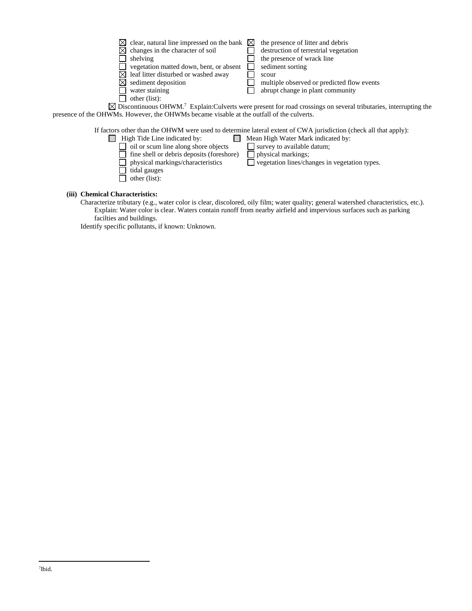| $\boxtimes$ clear, natural line impressed on the bank $\boxtimes$<br>$\boxtimes$ changes in the character of soil<br>shelving<br>vegetation matted down, bent, or absent<br>$\bowtie$ leaf litter disturbed or washed away<br>$\boxtimes$ sediment deposition | scour | the presence of litter and debris<br>destruction of terrestrial vegetation<br>the presence of wrack line<br>sediment sorting<br>multiple observed or predicted flow events |
|---------------------------------------------------------------------------------------------------------------------------------------------------------------------------------------------------------------------------------------------------------------|-------|----------------------------------------------------------------------------------------------------------------------------------------------------------------------------|
| water staining<br>other (list):                                                                                                                                                                                                                               |       | abrupt change in plant community                                                                                                                                           |
| presence of the OHWMs. However, the OHWMs became visable at the outfall of the culverts.                                                                                                                                                                      |       | $\boxtimes$ Discontinuous OHWM. <sup>7</sup> Explain: Culverts were present for road crossings on several tributaries, interrupting the                                    |
| If factors other than the OHWM were used to determine lateral extent of CWA jurisdiction (check all that apply):                                                                                                                                              |       |                                                                                                                                                                            |

|                                             | actors other than the OHWM were used to determine fateral extent of UWA jurisdiction (check all that ap |
|---------------------------------------------|---------------------------------------------------------------------------------------------------------|
| High Tide Line indicated by:                | Mean High Water Mark indicated by:                                                                      |
| $\Box$ oil or scum line along shore objects | survey to available datum;                                                                              |
| fine shell or debris deposits (foreshore)   | $\Box$ physical markings;                                                                               |
| $\Box$ physical markings/characteristics    | $\Box$ vegetation lines/changes in vegetation types.                                                    |
| tidal gauges                                |                                                                                                         |
| other (list):                               |                                                                                                         |
|                                             |                                                                                                         |

### **(iii) Chemical Characteristics:**

Characterize tributary (e.g., water color is clear, discolored, oily film; water quality; general watershed characteristics, etc.). Explain: Water color is clear. Waters contain runoff from nearby airfield and impervious surfaces such as parking facilties and buildings.

Identify specific pollutants, if known: Unknown.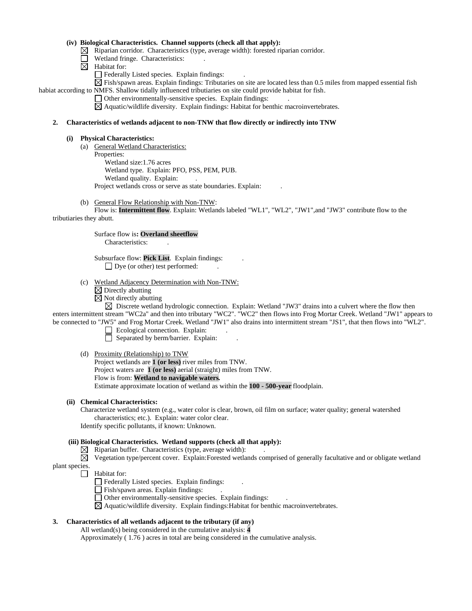### **(iv) Biological Characteristics. Channel supports (check all that apply):**

 $\boxtimes$  Riparian corridor. Characteristics (type, average width): forested riparian corridor.

- Wetland fringe. Characteristics:  $\Box$
- $\boxtimes$  Habitat for:
	- Federally Listed species. Explain findings:

 $\boxtimes$  Fish/spawn areas. Explain findings: Tributaries on site are located less than 0.5 miles from mapped essential fish habiat according to NMFS. Shallow tidally influenced tributiaries on site could provide habitat for fish.

Other environmentally-sensitive species. Explain findings: .

 $\boxtimes$  Aquatic/wildlife diversity. Explain findings: Habitat for benthic macroinvertebrates.

### **2. Characteristics of wetlands adjacent to non-TNW that flow directly or indirectly into TNW**

#### **(i) Physical Characteristics:**

(a) General Wetland Characteristics: Properties:

Wetland size:1.76 acres Wetland type. Explain: PFO, PSS, PEM, PUB. Wetland quality. Explain: Project wetlands cross or serve as state boundaries. Explain: .

(b) General Flow Relationship with Non-TNW:

Flow is: **Intermittent flow**. Explain: Wetlands labeled "WL1", "WL2", "JW1",and "JW3" contribute flow to the tributiaries they abutt.

Surface flow is**: Overland sheetflow** 

Characteristics: .

Subsurface flow: **Pick List**. Explain findings: . □ Dye (or other) test performed:

- (c) Wetland Adjacency Determination with Non-TNW:
	- $\boxtimes$  Directly abutting
	- $\boxtimes$  Not directly abutting

 $\boxtimes$  Discrete wetland hydrologic connection. Explain: Wetland "JW3" drains into a culvert where the flow then enters intermittent stream "WC2a" and then into tributary "WC2". "WC2" then flows into Frog Mortar Creek. Wetland "JW1" appears to be connected to "JW5" and Frog Mortar Creek. Wetland "JW1" also drains into intermittent stream "JS1", that then flows into "WL2".

- $\Box$  Ecological connection. Explain:
	- $\Box$  Separated by berm/barrier. Explain:
- (d) Proximity (Relationship) to TNW
	- Project wetlands are **1 (or less)** river miles from TNW. Project waters are **1 (or less)** aerial (straight) miles from TNW. Flow is from: **Wetland to navigable waters.** Estimate approximate location of wetland as within the **100 - 500-year** floodplain.

### **(ii) Chemical Characteristics:**

Characterize wetland system (e.g., water color is clear, brown, oil film on surface; water quality; general watershed characteristics; etc.). Explain: water color clear.

Identify specific pollutants, if known: Unknown.

### **(iii) Biological Characteristics. Wetland supports (check all that apply):**

- $\boxtimes$  Riparian buffer. Characteristics (type, average width):
- $\boxtimes$  Vegetation type/percent cover. Explain: Forested wetlands comprised of generally facultative and or obligate wetland plant species.
	- $\Box$  Habitat for:
		- Federally Listed species. Explain findings:
		- Fish/spawn areas. Explain findings:
		- Other environmentally-sensitive species. Explain findings: .
		- $\boxtimes$  Aquatic/wildlife diversity. Explain findings: Habitat for benthic macroinvertebrates.

### **3. Characteristics of all wetlands adjacent to the tributary (if any)**

All wetland(s) being considered in the cumulative analysis: **4** Approximately ( 1.76 ) acres in total are being considered in the cumulative analysis.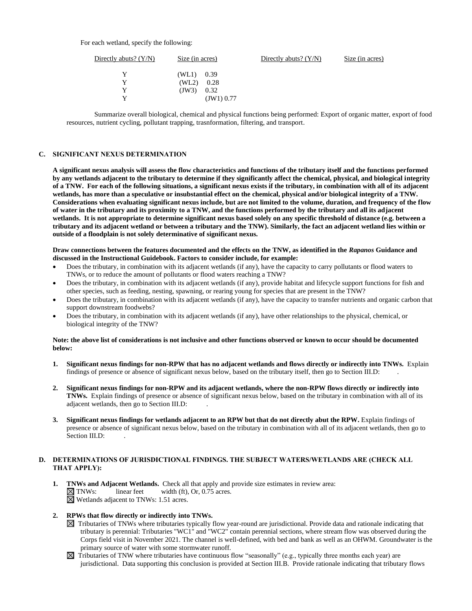For each wetland, specify the following:

| Directly abuts? $(Y/N)$ | Size (in acres) |            | Directly abuts? $(Y/N)$ | Size (in acres) |
|-------------------------|-----------------|------------|-------------------------|-----------------|
| v                       | $(WL1)$ 0.39    |            |                         |                 |
| v                       | (WL2)           | 0.28       |                         |                 |
| Y                       | (JW3)           | 0.32       |                         |                 |
| v                       |                 | (JW1) 0.77 |                         |                 |

Summarize overall biological, chemical and physical functions being performed: Export of organic matter, export of food resources, nutrient cycling, pollutant trapping, trasnformation, filtering, and transport.

#### **C. SIGNIFICANT NEXUS DETERMINATION**

**A significant nexus analysis will assess the flow characteristics and functions of the tributary itself and the functions performed by any wetlands adjacent to the tributary to determine if they significantly affect the chemical, physical, and biological integrity of a TNW. For each of the following situations, a significant nexus exists if the tributary, in combination with all of its adjacent wetlands, has more than a speculative or insubstantial effect on the chemical, physical and/or biological integrity of a TNW. Considerations when evaluating significant nexus include, but are not limited to the volume, duration, and frequency of the flow of water in the tributary and its proximity to a TNW, and the functions performed by the tributary and all its adjacent wetlands. It is not appropriate to determine significant nexus based solely on any specific threshold of distance (e.g. between a tributary and its adjacent wetland or between a tributary and the TNW). Similarly, the fact an adjacent wetland lies within or outside of a floodplain is not solely determinative of significant nexus.** 

#### **Draw connections between the features documented and the effects on the TNW, as identified in the** *Rapanos* **Guidance and discussed in the Instructional Guidebook. Factors to consider include, for example:**

- Does the tributary, in combination with its adjacent wetlands (if any), have the capacity to carry pollutants or flood waters to TNWs, or to reduce the amount of pollutants or flood waters reaching a TNW?
- Does the tributary, in combination with its adjacent wetlands (if any), provide habitat and lifecycle support functions for fish and other species, such as feeding, nesting, spawning, or rearing young for species that are present in the TNW?
- Does the tributary, in combination with its adjacent wetlands (if any), have the capacity to transfer nutrients and organic carbon that support downstream foodwebs?
- Does the tributary, in combination with its adjacent wetlands (if any), have other relationships to the physical, chemical, or biological integrity of the TNW?

### **Note: the above list of considerations is not inclusive and other functions observed or known to occur should be documented below:**

- **1. Significant nexus findings for non-RPW that has no adjacent wetlands and flows directly or indirectly into TNWs.** Explain findings of presence or absence of significant nexus below, based on the tributary itself, then go to Section III.D: .
- **2. Significant nexus findings for non-RPW and its adjacent wetlands, where the non-RPW flows directly or indirectly into TNWs.** Explain findings of presence or absence of significant nexus below, based on the tributary in combination with all of its adjacent wetlands, then go to Section III.D: .
- **3. Significant nexus findings for wetlands adjacent to an RPW but that do not directly abut the RPW.** Explain findings of presence or absence of significant nexus below, based on the tributary in combination with all of its adjacent wetlands, then go to Section III.D:

### **D. DETERMINATIONS OF JURISDICTIONAL FINDINGS. THE SUBJECT WATERS/WETLANDS ARE (CHECK ALL THAT APPLY):**

**1. TNWs and Adjacent Wetlands.** Check all that apply and provide size estimates in review area:  $\boxtimes$  **TNWs:** linear feet width (ft), Or, 0.75 acres.  $linear feet \t width (ft), Or, 0.75 acres.$ Wetlands adjacent to TNWs: 1.51 acres.

#### **2. RPWs that flow directly or indirectly into TNWs.**

- $\boxtimes$  Tributaries of TNWs where tributaries typically flow year-round are jurisdictional. Provide data and rationale indicating that tributary is perennial: Tributaries "WC1" and "WC2" contain perennial sections, where stream flow was observed during the Corps field visit in November 2021. The channel is well-defined, with bed and bank as well as an OHWM. Groundwater is the primary source of water with some stormwater runoff.
- $\boxtimes$  Tributaries of TNW where tributaries have continuous flow "seasonally" (e.g., typically three months each year) are jurisdictional. Data supporting this conclusion is provided at Section III.B. Provide rationale indicating that tributary flows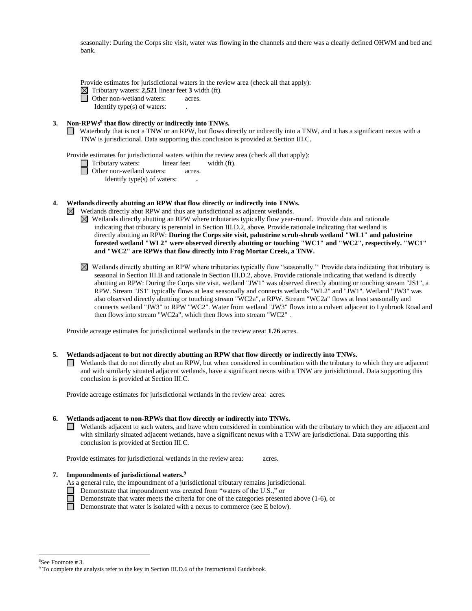seasonally: During the Corps site visit, water was flowing in the channels and there was a clearly defined OHWM and bed and bank.

Provide estimates for jurisdictional waters in the review area (check all that apply):

Tributary waters: **2,521** linear feet **3** width (ft).

Other non-wetland waters: acres.

Identify type(s) of waters: .

### **3. Non-RPWs<sup>8</sup> that flow directly or indirectly into TNWs.**

Waterbody that is not a TNW or an RPW, but flows directly or indirectly into a TNW, and it has a significant nexus with a TNW is jurisdictional. Data supporting this conclusion is provided at Section III.C.

Provide estimates for jurisdictional waters within the review area (check all that apply):

Tributary waters: linear feet width (ft).

□ Other non-wetland waters: acres.

Identify type(s) of waters: **.**

### **4. Wetlands directly abutting an RPW that flow directly or indirectly into TNWs.**

Wetlands directly abut RPW and thus are jurisdictional as adjacent wetlands.  $\bowtie$ 

- $\boxtimes$  Wetlands directly abutting an RPW where tributaries typically flow year-round. Provide data and rationale indicating that tributary is perennial in Section III.D.2, above. Provide rationale indicating that wetland is directly abutting an RPW: **During the Corps site visit, palustrine scrub-shrub wetland "WL1" and palustrine forested wetland "WL2" were observed directly abutting or touching "WC1" and "WC2", respectively. "WC1" and "WC2" are RPWs that flow directly into Frog Mortar Creek, a TNW.**
- Wetlands directly abutting an RPW where tributaries typically flow "seasonally." Provide data indicating that tributary is seasonal in Section III.B and rationale in Section III.D.2, above. Provide rationale indicating that wetland is directly abutting an RPW: During the Corps site visit, wetland "JW1" was observed directly abutting or touching stream "JS1", a RPW. Stream "JS1" typically flows at least seasonally and connects wetlands "WL2" and "JW1". Wetland "JW3" was also observed directly abutting or touching stream "WC2a", a RPW. Stream "WC2a" flows at least seasonally and connects wetland "JW3" to RPW "WC2". Water from wetland "JW3" flows into a culvert adjacent to Lynbrook Road and then flows into stream "WC2a", which then flows into stream "WC2" .

Provide acreage estimates for jurisdictional wetlands in the review area: **1.76** acres.

### **5. Wetlands adjacent to but not directly abutting an RPW that flow directly or indirectly into TNWs.**

 $\Box$  Wetlands that do not directly abut an RPW, but when considered in combination with the tributary to which they are adjacent and with similarly situated adjacent wetlands, have a significant nexus with a TNW are jurisidictional. Data supporting this conclusion is provided at Section III.C.

Provide acreage estimates for jurisdictional wetlands in the review area: acres.

### **6. Wetlands adjacent to non-RPWs that flow directly or indirectly into TNWs.**

Wetlands adjacent to such waters, and have when considered in combination with the tributary to which they are adjacent and with similarly situated adjacent wetlands, have a significant nexus with a TNW are jurisdictional. Data supporting this conclusion is provided at Section III.C.

Provide estimates for jurisdictional wetlands in the review area: acres.

### **7. Impoundments of jurisdictional waters. 9**

As a general rule, the impoundment of a jurisdictional tributary remains jurisdictional.

- Demonstrate that impoundment was created from "waters of the U.S.," or
- Demonstrate that water meets the criteria for one of the categories presented above (1-6), or
- Demonstrate that water is isolated with a nexus to commerce (see E below).

<sup>8</sup>See Footnote # 3.

<sup>&</sup>lt;sup>9</sup> To complete the analysis refer to the key in Section III.D.6 of the Instructional Guidebook.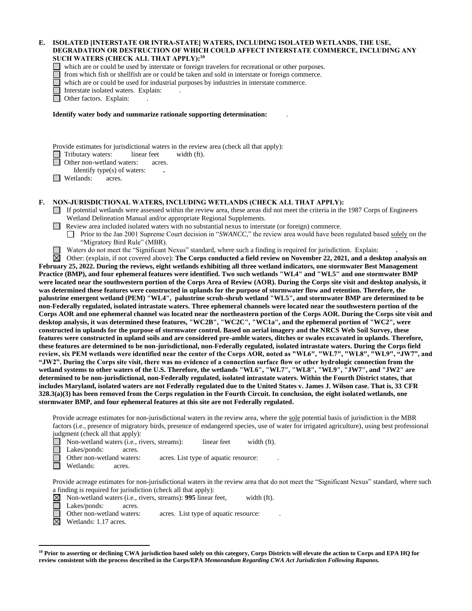#### **E. ISOLATED [INTERSTATE OR INTRA-STATE] WATERS, INCLUDING ISOLATED WETLANDS, THE USE, DEGRADATION OR DESTRUCTION OF WHICH COULD AFFECT INTERSTATE COMMERCE, INCLUDING ANY SUCH WATERS (CHECK ALL THAT APPLY):<sup>10</sup>**

which are or could be used by interstate or foreign travelers for recreational or other purposes.

from which fish or shellfish are or could be taken and sold in interstate or foreign commerce.

which are or could be used for industrial purposes by industries in interstate commerce.

Interstate isolated waters.Explain: .

□ Other factors. Explain:

**Identify water body and summarize rationale supporting determination:** .

Provide estimates for jurisdictional waters in the review area (check all that apply):

Tributary waters: linear feet width (ft).

Other non-wetland waters: acres.

Identify type(s) of waters: **.**

 $\Box$  Wetlands: acres.

### **F. NON-JURISDICTIONAL WATERS, INCLUDING WETLANDS (CHECK ALL THAT APPLY):**

If potential wetlands were assessed within the review area, these areas did not meet the criteria in the 1987 Corps of Engineers Wetland Delineation Manual and/or appropriate Regional Supplements.

- **Review area included isolated waters with no substantial nexus to interstate (or foreign) commerce.** 
	- Prior to the Jan 2001 Supreme Court decision in "*SWANCC*," the review area would have been regulated based solely on the "Migratory Bird Rule" (MBR).

Waters do not meet the "Significant Nexus" standard, where such a finding is required for jurisdiction. Explain: **.**

⊠ Other: (explain, if not covered above): **The Corps conducted a field review on November 22, 2021, and a desktop analysis on February 25, 2022. During the reviews, eight wetlands exhibiting all three wetland indicators, one stormwater Best Management Practice (BMP), and four ephemeral features were identified. Two such wetlands "WL4" and "WL5" and one stormwater BMP were located near the southwestern portion of the Corps Area of Review (AOR). During the Corps site visit and desktop analysis, it was determined these features were constructed in uplands for the purpose of stormwater flow and retention. Therefore, the palustrine emergent wetland (PEM) "WL4", palustrine scrub-shrub wetland "WL5", and stormwater BMP are determined to be non-Federally regulated, isolated intrastate waters. Three ephemeral channels were located near the southwestern portion of the Corps AOR and one ephemeral channel was located near the northeastern portion of the Corps AOR. During the Corps site visit and desktop analysis, it was determined these features, "WC2B", "WC2C", "WC1a", and the ephemeral portion of "WC2", were constructed in uplands for the purpose of stormwater control. Based on aerial imagery and the NRCS Web Soil Survey, these features were constructed in upland soils and are considered pre-amble waters, ditches or swales excavated in uplands. Therefore, these features are determined to be non-jurisdictional, non-Federally regulated, isolated intrastate waters. During the Corps field review, six PEM wetlands were identified near the center of the Corps AOR, noted as "WL6", "WL7", "WL8", "WL9", "JW7", and "JW2". During the Corps site visit, there was no evidence of a connection surface flow or other hydrologic connection from the wetland systems to other waters of the U.S. Therefore, the wetlands "WL6", "WL7", "WL8", "WL9", "JW7", and "JW2" are determined to be non-jurisdictional, non-Federally regulated, isolated intrastate waters. Within the Fourth District states, that includes Maryland, isolated waters are not Federally regulated due to the United States v. James J. Wilson case. That is, 33 CFR 328.3(a)(3) has been removed from the Corps regulation in the Fourth Circuit. In conclusion, the eight isolated wetlands, one stormwater BMP, and four ephemeral features at this site are not Federally regulated.**

Provide acreage estimates for non-jurisdictional waters in the review area, where the sole potential basis of jurisdiction is the MBR factors (i.e., presence of migratory birds, presence of endangered species, use of water for irrigated agriculture), using best professional judgment (check all that apply):

■ Non-wetland waters (i.e., rivers, streams): linear feet width (ft).

Lakes/ponds: acres.

Other non-wetland waters: acres. List type of aquatic resource:

Wetlands: acres.

Provide acreage estimates for non-jurisdictional waters in the review area that do not meet the "Significant Nexus" standard, where such a finding is required for jurisdiction (check all that apply):

- $\boxtimes$ Non-wetland waters (i.e., rivers, streams): **995** linear feet, width (ft).
	- Lakes/ponds: acres.
	- Other non-wetland waters: acres. List type of aquatic resource:
- $\boxtimes$ Wetlands: 1.17 acres.

**<sup>10</sup> Prior to asserting or declining CWA jurisdiction based solely on this category, Corps Districts will elevate the action to Corps and EPA HQ for review consistent with the process described in the Corps/EPA** *Memorandum Regarding CWA Act Jurisdiction Following Rapanos.*